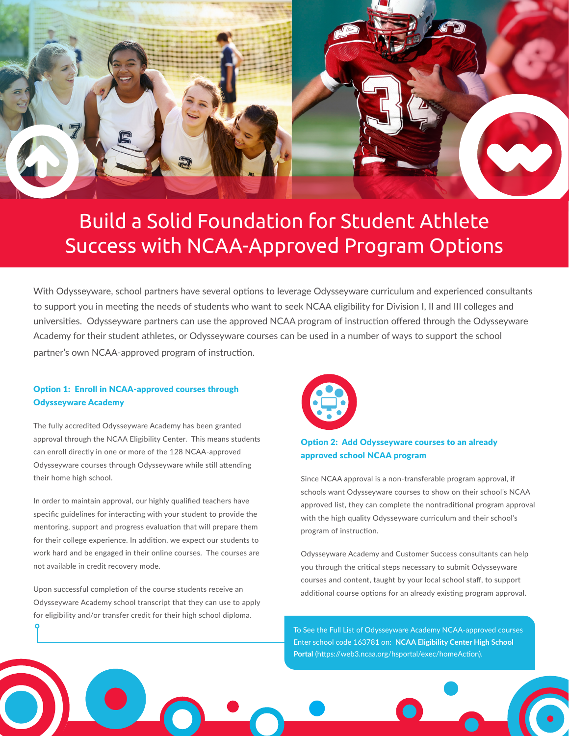

# Build a Solid Foundation for Student Athlete Success with NCAA-Approved Program Options

With Odysseyware, school partners have several options to leverage Odysseyware curriculum and experienced consultants to support you in meeting the needs of students who want to seek NCAA eligibility for Division I, II and III colleges and universities. Odysseyware partners can use the approved NCAA program of instruction offered through the Odysseyware Academy for their student athletes, or Odysseyware courses can be used in a number of ways to support the school partner's own NCAA-approved program of instruction.

## Option 1: Enroll in NCAA-approved courses through Odysseyware Academy

The fully accredited Odysseyware Academy has been granted approval through the NCAA Eligibility Center. This means students can enroll directly in one or more of the 128 NCAA-approved Odysseyware courses through Odysseyware while still attending their home high school.

In order to maintain approval, our highly qualified teachers have specific guidelines for interacting with your student to provide the mentoring, support and progress evaluation that will prepare them for their college experience. In addition, we expect our students to work hard and be engaged in their online courses. The courses are not available in credit recovery mode.

Upon successful completion of the course students receive an Odysseyware Academy school transcript that they can use to apply for eligibility and/or transfer credit for their high school diploma.



## Option 2: Add Odysseyware courses to an already approved school NCAA program

Since NCAA approval is a non-transferable program approval, if schools want Odysseyware courses to show on their school's NCAA approved list, they can complete the nontraditional program approval with the high quality Odysseyware curriculum and their school's program of instruction.

Odysseyware Academy and Customer Success consultants can help you through the critical steps necessary to submit Odysseyware courses and content, taught by your local school staff, to support additional course options for an already existing program approval.

To See the Full List of Odysseyware Academy NCAA-approved courses Enter school code 163781 on: **NCAA Eligibility Center High School Portal** (https://web3.ncaa.org/hsportal/exec/homeAction).